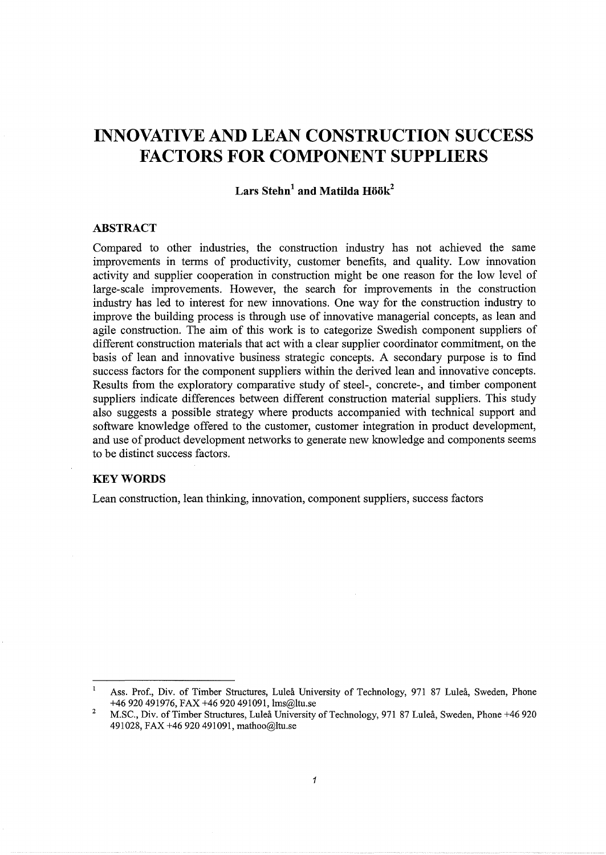# **INNOVATIVE AND LEAN CONSTRUCTION SUCCESS FACTORS FOR COMPONENT SUPPLIERS**

## Lars Stehn<sup>1</sup> and Matilda Höök<sup>2</sup>

#### **ABSTRACT**

Compared to other industries, the construction industry has not achieved the same improvements in terms of productivity, customer benefits, and quality. Low innovation activity and supplier cooperation in construction might be one reason for the low level of large-scale improvements. However, the search for improvements in the construction industry has led to interest for new innovations. One way for the construction industry to improve the building process is through use of innovative managerial concepts, as lean and agile construction. The aim of this work is to categorize Swedish component suppliers of different construction materials that act with a clear supplier coordinator commitment, on the basis of lean and innovative business strategic concepts. A secondary purpose is to find success factors for the component suppliers within the derived lean and innovative concepts. Results from the exploratory comparative study of steel-, concrete-, and timber component suppliers indicate differences between different construction material suppliers. This study also suggests a possible strategy where products accompanied with technical support and software knowledge offered to the customer, customer integration in product development, and use of product development networks to generate new knowledge and components seems to be distinct success factors.

## **KEYWORDS**

Lean construction, lean thinking, innovation, component suppliers, success factors

 $\mathbf{I}$ Ass. Prof., Div. of Timber Structures, Lulea University of Technology, 971 87 Lulea, Sweden, Phone +46 920 491976, FAX +46 920 491091, lms@ltu.se

<sup>2</sup>  M.SC., Div. of Timber Structures, Lulea University of Technology, 971 87 Lulea, Sweden, Phone +46 920 491028, FAX +46 920 491091, mathoo@ltu.se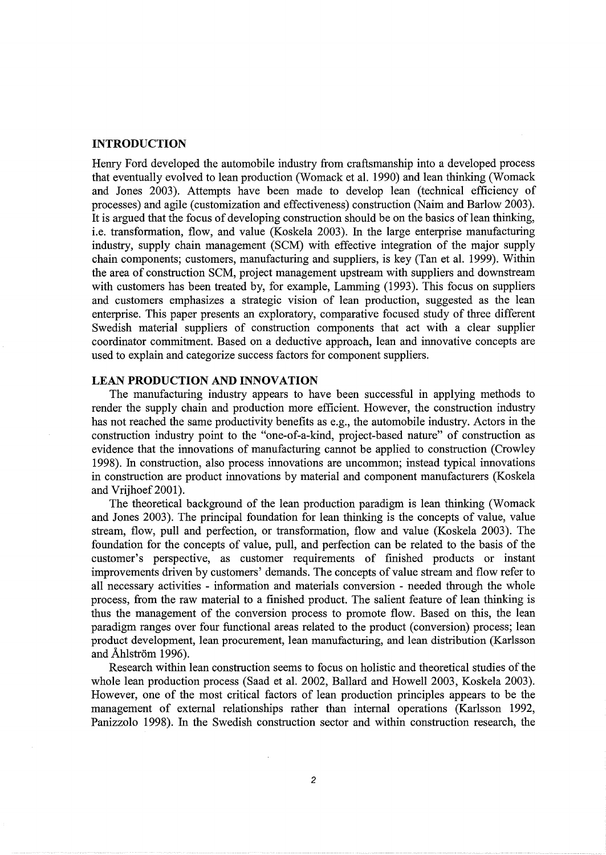#### **INTRODUCTION**

Henry Ford developed the automobile industry from craftsmanship into a developed process that eventually evolved to lean production (Womack et al. 1990) and lean thinking (Womack and Jones 2003). Attempts have been made to develop lean (technical efficiency of processes) and agile (customization and effectiveness) construction (Nairn and Barlow 2003). It is argued that the focus of developing construction should be on the basics of lean thinking, i.e. transformation, flow, and value (Koskela 2003). In the large enterprise manufacturing industry, supply chain management (SCM) with effective integration of the major supply chain components; customers, manufacturing and suppliers, is key (Tan et al. 1999). Within the area of construction SCM, project management upstream with suppliers and downstream with customers has been treated by, for example, Lamming (1993). This focus on suppliers and customers emphasizes a strategic vision of lean production, suggested as the lean enterprise. This paper presents an exploratory, comparative focused study of three different Swedish material suppliers of construction components that act with a clear supplier coordinator commitment. Based on a deductive approach, lean and innovative concepts are used to explain and categorize success factors for component suppliers.

## **LEAN PRODUCTION AND INNOVATION**

The manufacturing industry appears to have been successful in applying methods to render the supply chain and production more efficient. However, the construction industry has not reached the same productivity benefits as e.g., the automobile industry. Actors in the construction industry point to the "one-of-a-kind, project-based nature" of construction as evidence that the innovations of manufacturing cannot be applied to construction (Crowley 1998). In construction, also process innovations are uncommon; instead typical innovations in construction are product innovations by material and component manufacturers (Koskela and Vrijhoef 2001).

The theoretical background of the lean production paradigm is lean thinking (Womack and Jones 2003). The principal foundation for lean thinking is the concepts of value, value stream, flow, pull and perfection, or transformation, flow and value (Koskela 2003). The foundation for the concepts of value, pull, and perfection can be related to the basis of the customer's perspective, as customer requirements of finished products or instant improvements driven by customers' demands. The concepts of value stream and flow refer to all necessary activities - information and materials conversion - needed through the whole process, from the raw material to a finished product. The salient feature of lean thinking is thus the management of the conversion process to promote flow. Based on this, the lean paradigm ranges over four functional areas related to the product (conversion) process; lean product development, lean procurement, lean manufacturing, and lean distribution (Karlsson and Åhlström 1996).

Research within lean construction seems to focus on holistic and theoretical studies of the whole lean production process (Saad et al. 2002, Ballard and Howell 2003, Koskela 2003). However, one of the most critical factors of lean production principles appears to be the management of external relationships rather than internal operations (Karlsson 1992, Panizzolo 1998). In the Swedish construction sector and within construction research, the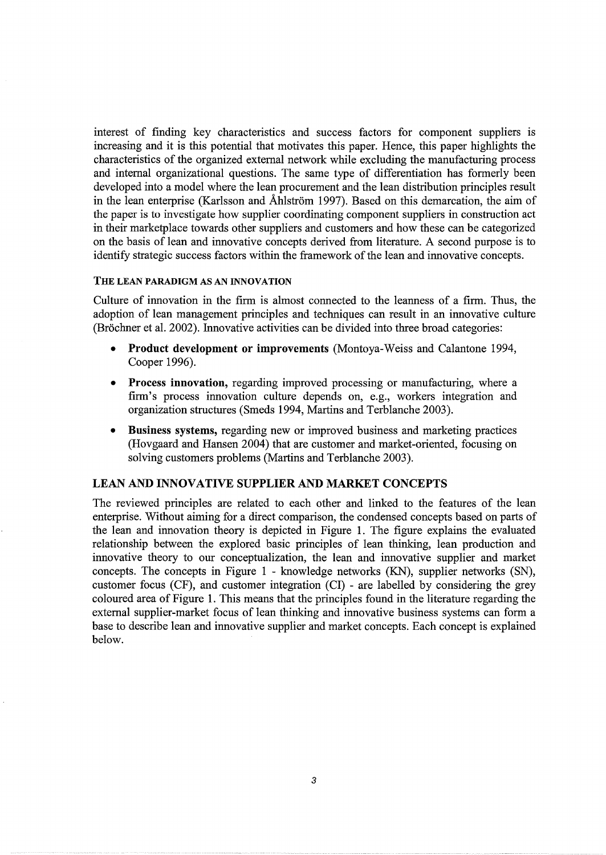interest of finding key characteristics and success factors for component suppliers is increasing and it is this potential that motivates this paper. Hence, this paper highlights the characteristics of the organized external network while excluding the manufacturing process and internal organizational questions. The same type of differentiation has formerly been developed into a model where the lean procurement and the lean distribution principles result in the lean enterprise (Karlsson and Åhlström 1997). Based on this demarcation, the aim of the paper is to investigate how supplier coordinating component suppliers in construction act in their marketplace towards other suppliers and customers and how these can be categorized on the basis of lean and innovative concepts derived from literature. A second purpose is to identify strategic success factors within the framework of the lean and innovative concepts.

## THE LEAN PARADIGM AS AN INNOVATION

Culture of innovation in the firm is almost connected to the leanness of a firm. Thus, the adoption of lean management principles and techniques can result in an innovative culture (Brochner et al. 2002). Innovative activities can be divided into three broad categories:

- Product development or improvements (Montoya-Weiss and Calantone 1994, Cooper 1996).
- Process innovation, regarding improved processing or manufacturing, where a firm's process innovation culture depends on, e.g., workers integration and organization structures (Smeds 1994, Martins and Terblanche 2003).
- Business systems, regarding new or improved business and marketing practices (Hovgaard and Hansen 2004) that are customer and market-oriented, focusing on solving customers problems (Martins and Terblanche 2003).

## LEAN AND INNOVATIVE SUPPLIER AND MARKET CONCEPTS

The reviewed principles are related to each other and linked to the features of the lean enterprise. Without aiming for a direct comparison, the condensed concepts based on parts of the lean and innovation theory is depicted in Figure 1. The figure explains the evaluated relationship between the explored basic principles of lean thinking, lean production and innovative theory to our conceptualization, the lean and innovative supplier and market concepts. The concepts in Figure 1 - knowledge networks (KN), supplier networks (SN), customer focus (CF), and customer integration (CI) - are labelled by considering the grey coloured area of Figure 1. This means that the principles found in the literature regarding the external supplier-market focus of lean thinking and innovative business systems can form a base to describe lean and innovative supplier and market concepts. Each concept is explained below.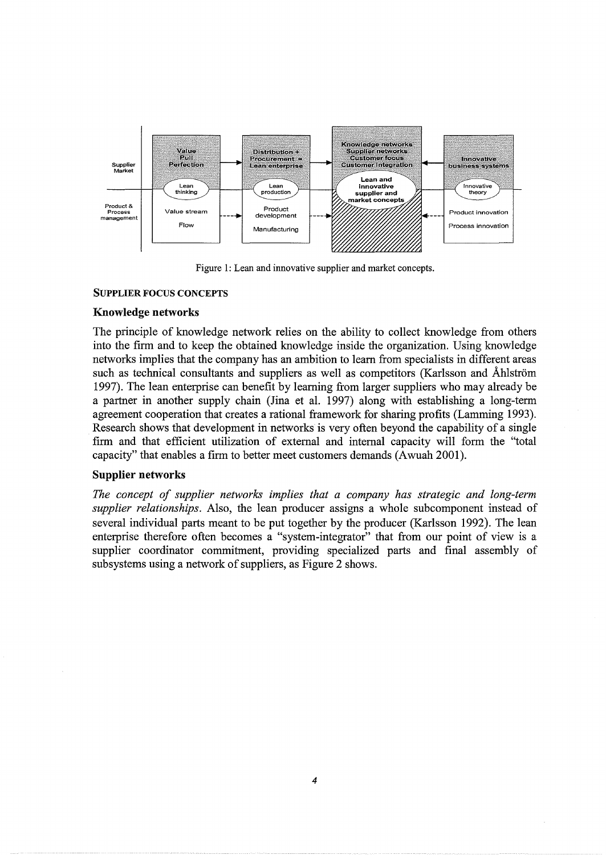

Figure 1: Lean and innovative supplier and market concepts.

## SUPPLIER FOCUS CONCEPTS

## Knowledge networks

The principle of knowledge network relies on the ability to collect knowledge from others into the firm and to keep the obtained knowledge inside the organization. Using knowledge networks implies that the company has an ambition to learn from specialists in different areas such as technical consultants and suppliers as well as competitors (Karlsson and Åhlström 1997). The lean enterprise can benefit by learning from larger suppliers who may already be a partner in another supply chain (Jina et al. 1997) along with establishing a long-term agreement cooperation that creates a rational framework for sharing profits (Lamming 1993). Research shows that development in networks is very often beyond the capability of a single firm and that efficient utilization of external and internal capacity will form the "total capacity" that enables a firm to better meet customers demands (Awuah 2001).

## Supplier networks

*The concept of supplier networks implies that a company has strategic and long-term supplier relationships.* Also, the lean producer assigns a whole subcomponent instead of several individual parts meant to be put together by the producer (Karlsson 1992). The lean enterprise therefore often becomes a "system-integrator" that from our point of view is a supplier coordinator commitment, providing specialized parts and final assembly of subsystems using a network of suppliers, as Figure 2 shows.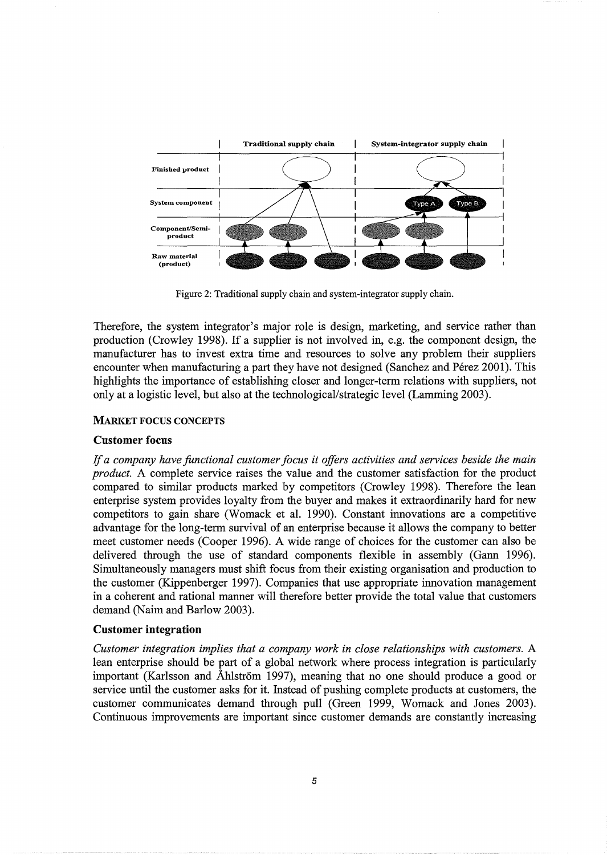

Figure 2: Traditional supply chain and system-integrator supply chain.

Therefore, the system integrator's major role is design, marketing, and service rather than production (Crowley 1998). If a supplier is not involved in, e.g. the component design, the manufacturer has to invest extra time and resources to solve any problem their suppliers encounter when manufacturing a part they have not designed (Sanchez and Pérez 2001). This highlights the importance of establishing closer and longer-term relations with suppliers, not only at a logistic level, but also at the technological/strategic level (Lamming 2003).

## MARKET FOCUS CONCEPTS

## **Customer focus**

If *a company have functional customer focus it offers activities and services beside the main product.* A complete service raises the value and the customer satisfaction for the product compared to similar products marked by competitors (Crowley 1998). Therefore the lean enterprise system provides loyalty from the buyer and makes it extraordinarily hard for new competitors to gain share (Womack et al. 1990). Constant innovations are a competitive advantage for the long-term survival of an enterprise because it allows the company to better meet customer needs (Cooper 1996). A wide range of choices for the customer can also be delivered through the use of standard components flexible in assembly (Gann 1996). Simultaneously managers must shift focus from their existing organisation and production to the customer (Kippenberger 1997). Companies that use appropriate innovation management in a coherent and rational manner will therefore better provide the total value that customers demand (Naim and Barlow 2003).

## **Customer integration**

*Customer integration implies that a company work in close relationships with customers.* A lean enterprise should be part of a global network where process integration is particularly important (Karlsson and Åhlström 1997), meaning that no one should produce a good or service until the customer asks for it. Instead of pushing complete products at customers, the customer communicates demand through pull (Green 1999, Womack and Jones 2003). Continuous improvements are important since customer demands are constantly increasing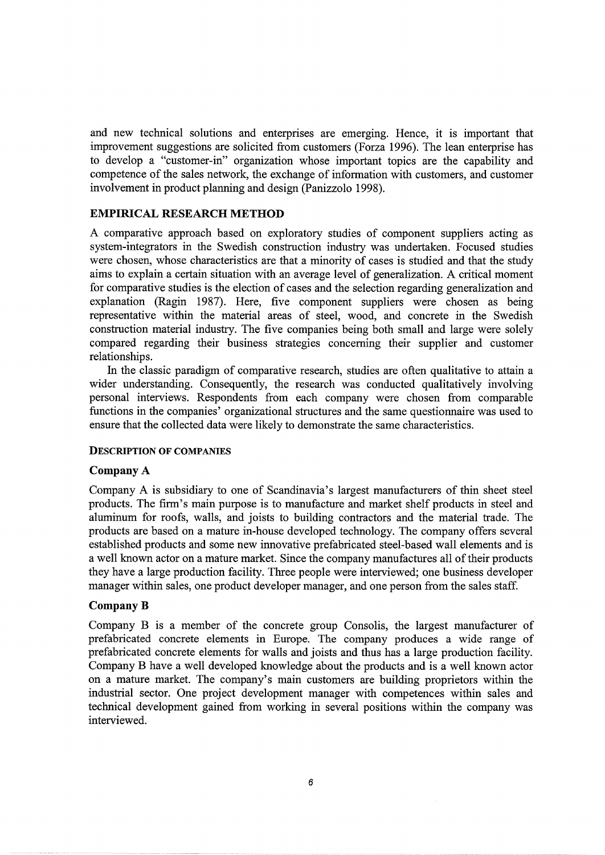and new technical solutions and enterprises are emerging. Hence, it is important that improvement suggestions are solicited from customers (Forza 1996). The lean enterprise has to develop a "customer-in" organization whose important topics are the capability and competence of the sales network, the exchange of information with customers, and customer involvement in product planning and design (Panizzolo 1998).

## **EMPIRICAL RESEARCH METHOD**

A comparative approach based on exploratory studies of component suppliers acting as system-integrators in the Swedish construction industry was undertaken. Focused studies were chosen, whose characteristics are that a minority of cases is studied and that the study aims to explain a certain situation with an average level of generalization. A critical moment for comparative studies is the election of cases and the selection regarding generalization and explanation (Ragin 1987). Here, five component suppliers were chosen as being representative within the material areas of steel, wood, and concrete in the Swedish construction material industry. The five companies being both small and large were solely compared regarding their business strategies concerning their supplier and customer relationships.

In the classic paradigm of comparative research, studies are often qualitative to attain a wider understanding. Consequently, the research was conducted qualitatively involving personal interviews. Respondents from each company were chosen from comparable functions in the companies' organizational structures and the same questionnaire was used to ensure that the collected data were likely to demonstrate the same characteristics.

#### DESCRIPTION OF COMPANIES

#### **Company** A

Company A is subsidiary to one of Scandinavia's largest manufacturers of thin sheet steel products. The firm's main purpose is to manufacture and market shelf products in steel and aluminum for roofs, walls, and joists to building contractors and the material trade. The products are based on a mature in-house developed technology. The company offers several established products and some new innovative prefabricated steel-based wall elements and is a well known actor on a mature market. Since the company manufactures all of their products they have a large production facility. Three people were interviewed; one business developer manager within sales, one product developer manager, and one person from the sales staff.

#### **CompanyB**

Company B is a member of the concrete group Consolis, the largest manufacturer of prefabricated concrete elements in Europe. The company produces a wide range of prefabricated concrete elements for walls and joists and thus has a large production facility. Company B have a well developed knowledge about the products and is a well known actor on a mature market. The company's main customers are building proprietors within the industrial sector. One project development manager with competences within sales and technical development gained from working in several positions within the company was interviewed.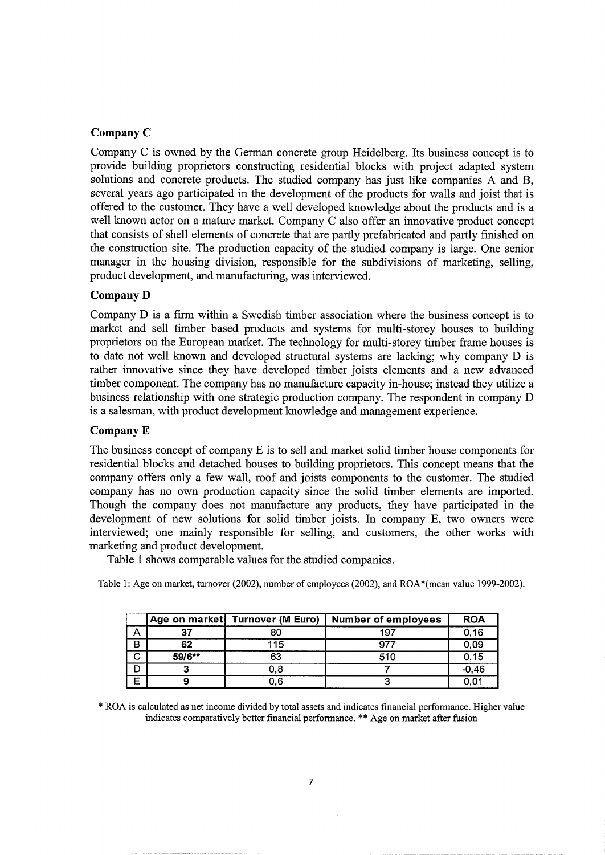## **CompanyC**

Company C is owned by the German concrete group Heidelberg. Its business concept is to provide building proprietors constructing residential blocks with project adapted system solutions and concrete products. The studied company has just like companies A and B, several years ago participated in the development of the products for walls and joist that is offered to the customer. They have a well developed knowledge about the products and is a well known actor on a mature market. Company C also offer an innovative product concept that consists of shell elements of concrete that are partly prefabricated and partly finished on the construction site. The production capacity of the studied company is large. One senior manager in the housing division, responsible for the subdivisions of marketing, selling, product development, and manufacturing, was interviewed.

## **CompanyD**

Company D is a firm within a Swedish timber association where the business concept is to market and sell timber based products and systems for multi-storey houses to building proprietors on the European market. The technology for multi-storey timber frame houses is to date not well known and developed structural systems are lacking; why company D is rather innovative since they have developed timber joists elements and a new advanced timber component. The company has no manufacture capacity in-house; instead they utilize a business relationship with one strategic production company. The respondent in company D is a salesman, with product development knowledge and management experience.

## **CompanyE**

The business concept of company E is to sell and market solid timber house components for residential blocks and detached houses to building proprietors. This concept means that the company offers only a few wall, roof and joists components to the customer. The studied company has no own production capacity since the solid timber elements are imported. Though the company does not manufacture any products, they have participated in the development of new solutions for solid timber joists. In company E, two owners were interviewed; one mainly responsible for selling, and customers, the other works with marketing and product development.

Table 1 shows comparable values for the studied companies.

|   |        | Age on market   Turnover (M Euro) | <b>Number of employees</b> | <b>ROA</b> |
|---|--------|-----------------------------------|----------------------------|------------|
| ∼ | 37     | 80                                | 197                        | 0, 16      |
| В | 62     | 115                               | 977                        | 0,09       |
| С | 59/6** | 63                                | 510                        | 0, 15      |
|   |        | 0.8                               |                            | $-0,46$    |
| Е |        | 0.6                               |                            | 0.01       |

Table I: Age on market, turnover (2002), number of employees (2002), and ROA \*(mean value 1999-2002).

\* ROA is calculated as net income divided by total assets and indicates financial performance. Higher value indicates comparatively better financial performance. \*\* Age on market after fusion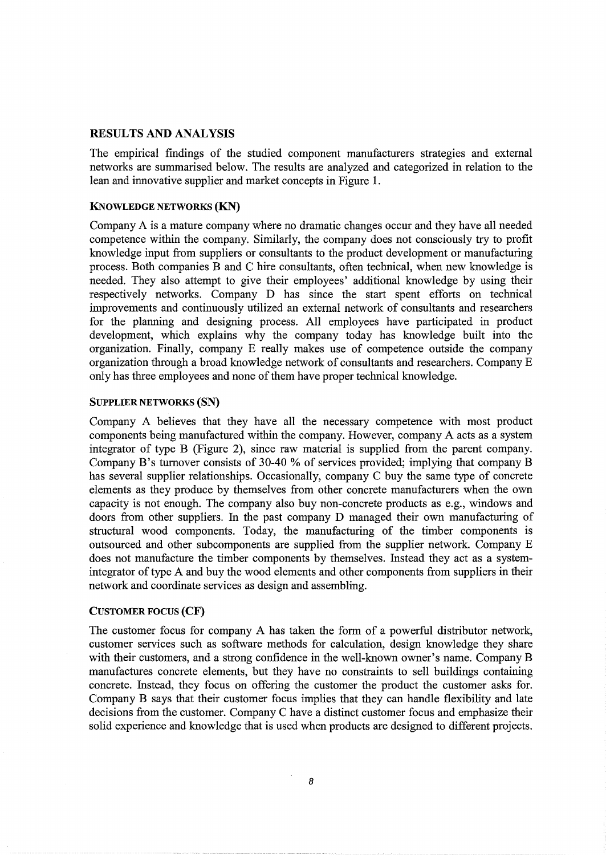## RESULTS AND ANALYSIS

The empirical findings of the studied component manufacturers strategies and external networks are summarised below. The results are analyzed and categorized in relation to the lean and innovative supplier and market concepts in Figure 1.

#### KNOWLEDGE NETWORKS (KN)

Company A is a mature company where no dramatic changes occur and they have all needed competence within the company. Similarly, the company does not consciously try to profit knowledge input from suppliers or consultants to the product development or manufacturing process. Both companies B and C hire consultants, often technical, when new knowledge is needed. They also attempt to give their employees' additional knowledge by using their respectively networks. Company D has since the start spent efforts on technical improvements and continuously utilized an external network of consultants and researchers for the planning and designing process. All employees have participated in product development, which explains why the company today has knowledge built into the organization. Finally, company E really makes use of competence outside the company organization through a broad knowledge network of consultants and researchers. Company E only has three employees and none of them have proper technical knowledge.

#### SUPPLIER NETWORKS (SN)

Company A believes that they have all the necessary competence with most product components being manufactured within the company. However, company A acts as a system integrator of type B (Figure 2), since raw material is supplied from the parent company. Company B's turnover consists of 30-40% of services provided; implying that company B has several supplier relationships. Occasionally, company C buy the same type of concrete elements as they produce by themselves from other concrete manufacturers when the own capacity is not enough. The company also buy non-concrete products as e.g., windows and doors from other suppliers. In the past company D managed their own manufacturing of structural wood components. Today, the manufacturing of the timber components is outsourced and other subcomponents are supplied from the supplier network. Company E does not manufacture the timber components by themselves. Instead they act as a systemintegrator of type A and buy the wood elements and other components from suppliers in their network and coordinate services as design and assembling.

## CUSTOMER FOCUS (CF)

The customer focus for company A has taken the form of a powerful distributor network, customer services such as software methods for calculation, design knowledge they share with their customers, and a strong confidence in the well-known owner's name. Company B manufactures concrete elements, but they have no constraints to sell buildings containing concrete. Instead, they focus on offering the customer the product the customer asks for. Company B says that their customer focus implies that they can handle flexibility and late decisions from the customer. Company C have a distinct customer focus and emphasize their solid experience and knowledge that is used when products are designed to different projects.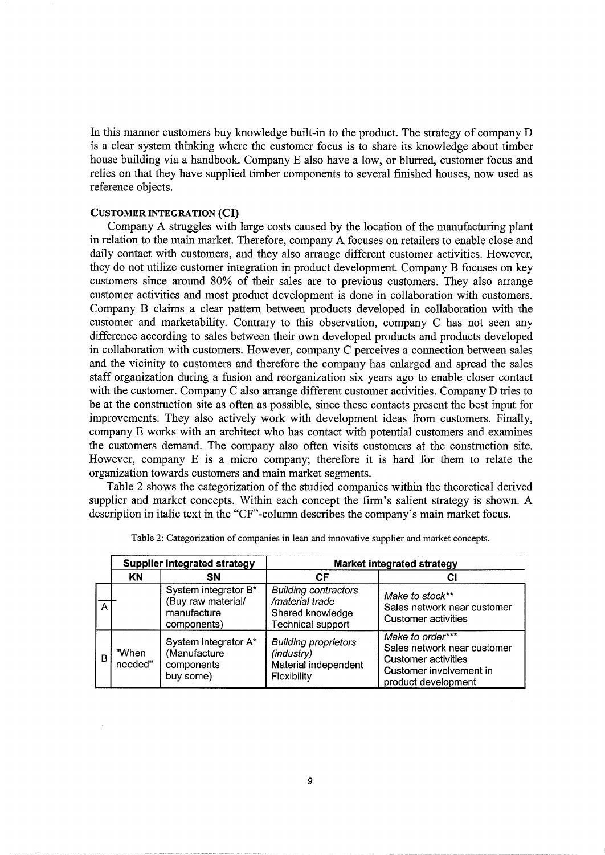In this manner customers buy knowledge built-in to the product. The strategy of company D is a clear system thinking where the customer focus is to share its knowledge about timber house building via a handbook. Company E also have a low, or blurred, customer focus and relies on that they have supplied timber components to several finished houses, now used as reference objects.

#### CUSTOMER INTEGRATION **(CI)**

Company A struggles with large costs caused by the location of the manufacturing plant in relation to the main market. Therefore, company A focuses on retailers to enable close and daily contact with customers, and they also arrange different customer activities. However, they do not utilize customer integration in product development. Company B focuses on key customers since around 80% of their sales are to previous customers. They also arrange customer activities and most product development is done in collaboration with customers. Company B claims a clear pattern between products developed in collaboration with the customer and marketability. Contrary to this observation, company C has not seen any difference according to sales between their own developed products and products developed in collaboration with customers. However, company C perceives a connection between sales and the vicinity to customers and therefore the company has enlarged and spread the sales staff organization during a fusion and reorganization six years ago to enable closer contact with the customer. Company C also arrange different customer activities. Company D tries to be at the construction site as often as possible, since these contacts present the best input for improvements. They also actively work with development ideas from customers. Finally, company E works with an architect who has contact with potential customers and examines the customers demand. The company also often visits customers at the construction site. However, company E is a micro company; therefore it is hard for them to relate the organization towards customers and main market segments.

Table 2 shows the categorization of the studied companies within the theoretical derived supplier and market concepts. Within each concept the firm's salient strategy is shown. A description in italic text in the "CF"-column describes the company's main market focus.

|   |                  | Supplier integrated strategy                                             | Market integrated strategy                                                                     |                                                                                                                          |
|---|------------------|--------------------------------------------------------------------------|------------------------------------------------------------------------------------------------|--------------------------------------------------------------------------------------------------------------------------|
|   | KN               | <b>SN</b>                                                                | СF                                                                                             | СI                                                                                                                       |
| А |                  | System integrator B*<br>(Buy raw material/<br>manufacture<br>components) | <b>Building contractors</b><br>/material trade<br>Shared knowledge<br><b>Technical support</b> | Make to stock**<br>Sales network near customer<br><b>Customer activities</b>                                             |
| B | "When<br>needed" | System integrator A*<br>(Manufacture<br>components<br>buy some)          | <b>Building proprietors</b><br>(industry)<br>Material independent<br>Flexibility               | Make to order***<br>Sales network near customer<br>Customer activities<br>Customer involvement in<br>product development |

|  | Table 2: Categorization of companies in lean and innovative supplier and market concepts |  |
|--|------------------------------------------------------------------------------------------|--|
|  |                                                                                          |  |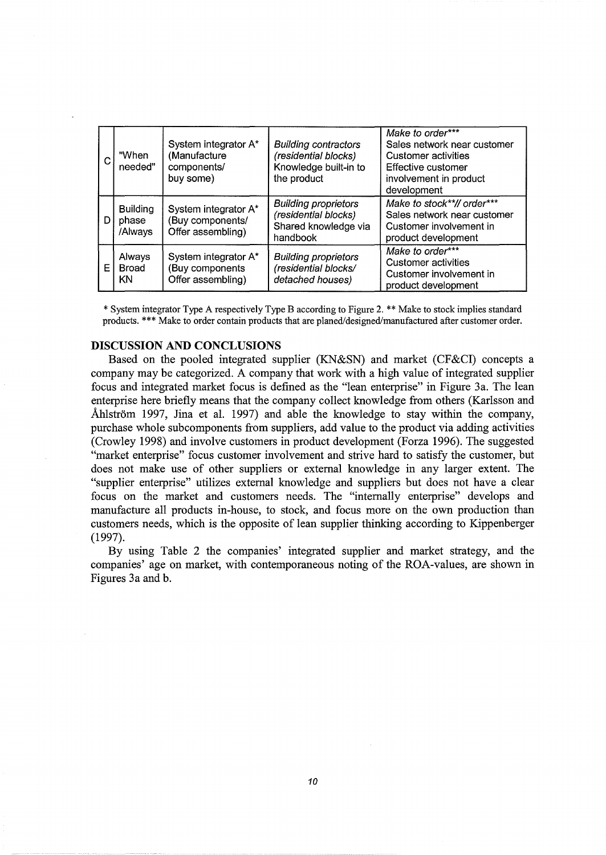| С  | "When<br>needed"                                                                                     | System integrator A*<br>(Manufacture<br>components/<br>buy some) | <b>Building contractors</b><br>(residential blocks)<br>Knowledge built-in to<br>the product | Make to order***<br>Sales network near customer<br>Customer activities<br>Effective customer<br>involvement in product<br>development |  |
|----|------------------------------------------------------------------------------------------------------|------------------------------------------------------------------|---------------------------------------------------------------------------------------------|---------------------------------------------------------------------------------------------------------------------------------------|--|
| DΙ | <b>Building</b><br>System integrator A*<br>(Buy components/<br>phase<br>Offer assembling)<br>/Always |                                                                  | <b>Building proprietors</b><br>(residential blocks)<br>Shared knowledge via<br>handbook     | Make to stock**// order***<br>Sales network near customer<br>Customer involvement in<br>product development                           |  |
| ΕI | Always<br>System integrator A*<br>Buy components<br>Broad<br>Offer assembling)<br>KN                 |                                                                  | <b>Building proprietors</b><br>(residential blocks/<br>detached houses)                     | Make to order***<br><b>Customer activities</b><br>Customer involvement in<br>product development                                      |  |

\*System integrator Type A respectively Type B according to Figure 2. \*\*Make to stock implies standard products.\*\*\* Make to order contain products that are planed/designed/manufactured after customer order.

#### **DISCUSSION AND CONCLUSIONS**

Based on the pooled integrated supplier (KN&SN) and market (CF&CI) concepts a company may be categorized. A company that work with a high value of integrated supplier focus and integrated market focus is defined as the "lean enterprise" in Figure 3a. The lean enterprise here briefly means that the company collect knowledge from others (Karlsson and Ahlström 1997, Jina et al. 1997) and able the knowledge to stay within the company, purchase whole subcomponents from suppliers, add value to the product via adding activities (Crowley 1998) and involve customers in product development (Forza 1996). The suggested "market enterprise" focus customer involvement and strive hard to satisfy the customer, but does not make use of other suppliers or external knowledge in any larger extent. The "supplier enterprise" utilizes external knowledge and suppliers but does not have a clear focus on the market and customers needs. The "internally enterprise" develops and manufacture all products in-house, to stock, and focus more on the own production than customers needs, which is the opposite of lean supplier thinking according to Kippenberger (1997).

By using Table 2 the companies' integrated supplier and market strategy, and the companies' age on market, with contemporaneous noting of the ROA-values, are shown in Figures 3a and b.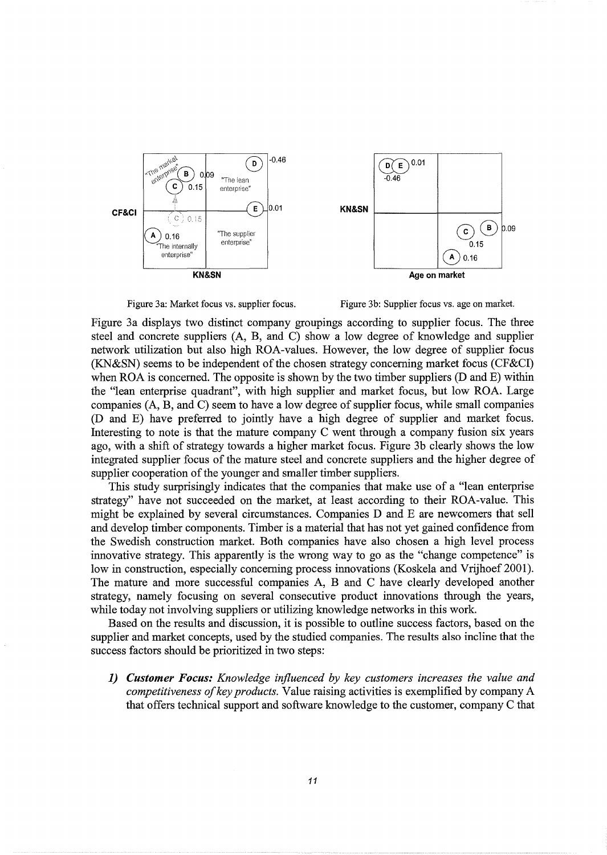



Figure 3a displays two distinct company groupings according to supplier focus. The three steel and concrete suppliers (A, B, and C) show a low degree of knowledge and supplier network utilization but also high ROA-values. However, the low degree of supplier focus (KN&SN) seems to be independent of the chosen strategy concerning market focus (CF&CI) when ROA is concerned. The opposite is shown by the two timber suppliers (D and E) within the "lean enterprise quadrant", with high supplier and market focus, but low ROA. Large companies (A, B, and C) seem to have a low degree of supplier focus, while small companies (D and E) have preferred to jointly have a high degree of supplier and market focus. Interesting to note is that the mature company C went through a company fusion six years ago, with a shift of strategy towards a higher market focus. Figure 3b clearly shows the low integrated supplier focus of the mature steel and concrete suppliers and the higher degree of supplier cooperation of the younger and smaller timber suppliers.

This study surprisingly indicates that the companies that make use of a "lean enterprise strategy" have not succeeded on the market, at least according to their ROA-value. This might be explained by several circumstances. Companies **D** and E are newcomers that sell and develop timber components. Timber is a material that has not yet gained confidence from the Swedish construction market. Both companies have also chosen a high level process innovative strategy. This apparently is the wrong way to go as the "change competence" is low in construction, especially concerning process innovations (Koskela and Vrijhoef 2001). The mature and more successful companies A, B and C have clearly developed another strategy, namely focusing on several consecutive product innovations through the years, while today not involving suppliers or utilizing knowledge networks in this work.

Based on the results and discussion, it is possible to outline success factors, based on the supplier and market concepts, used by the studied companies. The results also incline that the success factors should be prioritized in two steps:

*1) Customer Focus: Knowledge influenced by key customers increases the value and competitiveness of key products.* Value raising activities is exemplified by company A that offers technical support and software knowledge to the customer, company C that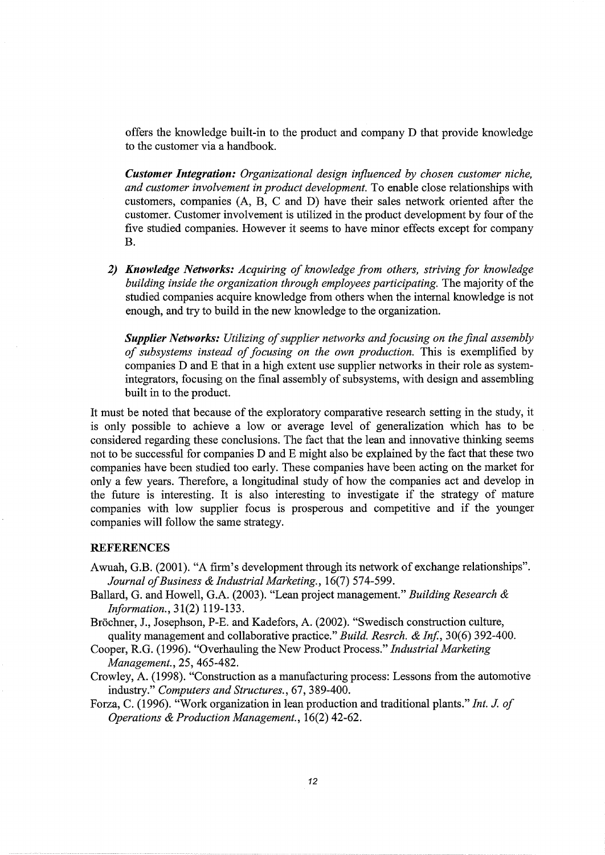offers the knowledge built-in to the product and company D that provide knowledge to the customer via a handbook.

*Customer Integration: Organizational design influenced by chosen customer niche, and customer involvement in product development.* To enable close relationships with customers, companies (A, B, C and D) have their sales network oriented after the customer. Customer involvement is utilized in the product development by four of the five studied companies. However it seems to have minor effects except for company B.

*2) Knowledge Networks: Acquiring of knowledge from others, striving for knowledge building inside the organization through employees participating.* The majority of the studied companies acquire knowledge from others when the internal knowledge is not enough, and try to build in the new knowledge to the organization.

*Supplier Networks: Utilizing of supplier networks and focusing on the final assembly of subsystems instead of focusing on the own production.* This is exemplified by companies D and E that in a high extent use supplier networks in their role as systemintegrators, focusing on the final assembly of subsystems, with design and assembling built in to the product.

It must be noted that because of the exploratory comparative research setting in the study, it is only possible to achieve a low or average level of generalization which has to be considered regarding these conclusions. The fact that the lean and innovative thinking seems not to be successful for companies D and E might also be explained by the fact that these two companies have been studied too early. These companies have been acting on the market for only a few years. Therefore, a longitudinal study of how the companies act and develop in the future is interesting. It is also interesting to investigate if the strategy of mature companies with low supplier focus is prosperous and competitive and if the younger companies will follow the same strategy.

#### REFERENCES

- Awuah, G.B. (2001). "A firm's development through its network of exchange relationships". *Journal of Business* & *Industrial Marketing.,* 16(7) 57 4-599.
- Ballard, G. and Howell, G.A. (2003). "Lean project management." *Building Research* & *Information.,* 31(2) 119-133.
- Bröchner, J., Josephson, P-E. and Kadefors, A. (2002). "Swedisch construction culture, quality management and collaborative practice." *Build. Resrch.* & *Inf.,* 30(6) 392-400.
- Cooper, R.G. (1996). "Overhauling the New Product Process." *Industrial Marketing Management.,* 25,465-482.
- Crowley, A. (1998). "Construction as a manufacturing process: Lessons from the automotive industry." *Computers and Structures.,* 67, 389-400.
- Forza, C. (1996). "Work organization in lean production and traditional plants." *Int.* J. *of Operations* & *Production Management.,* 16(2) 42-62.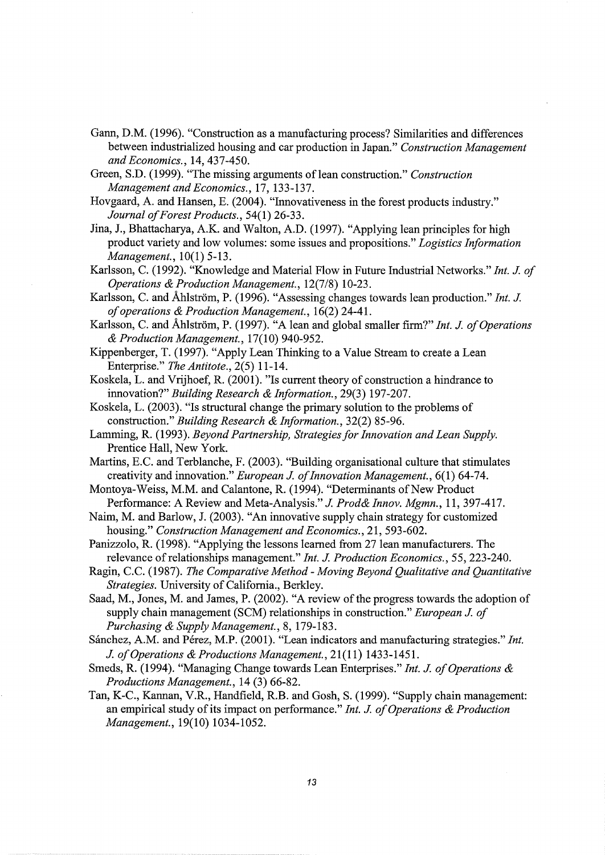- Gann, D.M. (1996). "Construction as a manufacturing process? Similarities and differences between industrialized housing and car production in Japan." *Construction Management and Economics.,* 14,437-450.
- Green, S.D. (1999). "The missing arguments of lean construction." Construction *Management and Economics.,* 17, 133-137.
- Hovgaard, A. and Hansen, E. (2004). "Innovativeness in the forest products industry." *Journal of Forest Products.,* 54(1) 26-33.
- Jina, J., Bhattacharya, A.K. and Walton, A.D. (1997). "Applying lean principles for high product variety and low volumes: some issues and propositions." *Logistics Information Management.,* 10(1) 5-13.
- Karlsson, C. (1992). "Knowledge and Material Flow in Future Industrial Networks." *Int. J. of Operations & Production Management.,* 12(7/8) 10-23.
- Karlsson, C. and Ahlström, P. (1996). "Assessing changes towards lean production." *Int. J. of operations & Production Management.,* 16(2) 24-41.
- Karlsson, C. and Åhlström, P. (1997). "A lean and global smaller firm?" *Int. J. of Operations & Production Management.,* 17(10) 940-952.
- Kippenberger, T. (1997). "Apply Lean Thinking to a Value Stream to create a Lean Enterprise." *The Antitote.,* 2(5) 11-14.
- Koskela, L. and Vrijhoef, R. (2001). "Is current theory of construction a hindrance to innovation?" *Building Research & Information.,* 29(3) 197-207.
- Koskela, L. (2003). "Is structural change the primary solution to the problems of construction." *Building Research & Information.,* 32(2) 85-96.
- Lamming, R. (1993). *Beyond Partnership, Strategies for Innovation and Lean Supply.*  Prentice Hall, New York.
- Martins, E.C. and Terblanche, F. (2003). "Building organisational culture that stimulates creativity and innovation." *European J. of Innovation Management.,* 6( 1) 64-7 4.
- Montoya-Weiss, M.M. and Calantone, R. (1994). "Determinants of New Product Performance: A Review and Meta-Analysis." *J. Prod& Innov. Mgmn.,* 11, 397-417.
- Naim, M. and Barlow, J. (2003). "An innovative supply chain strategy for customized housing." *Construction Management and Economics.,* 21, 593-602.
- Panizzolo, R. (1998). "Applying the lessons learned from 27 lean manufacturers. The relevance of relationships management." *Int. J. Production Economics.,* 55, 223-240.
- Ragin, C.C. (1987). *The Comparative Method- Moving Beyond Qualitative and Quantitative Strategies.* University of California., Berkley.
- Saad, M., Jones, M. and James, P. (2002). "A review of the progress towards the adoption of supply chain management (SCM) relationships in construction." *European J. of Purchasing & Supply Management.,* 8, 179-183.
- Sánchez, A.M. and Pérez, M.P. (2001). "Lean indicators and manufacturing strategies." Int. *J. of Operations & Productions Management.,* 21(11) 1433-1451.
- Smeds, R. (1994). "Managing Change towards Lean Enterprises." *Int. J. of Operations & Productions Management.,* 14 (3) 66-82.
- Tan, K-C., Kannan, V.R., Handfield, R.B. and Gosh, S. (1999). "Supply chain management: an empirical study of its impact on performance." *Int. J. of Operations & Production Management.,* 19(10) 1034-1052.